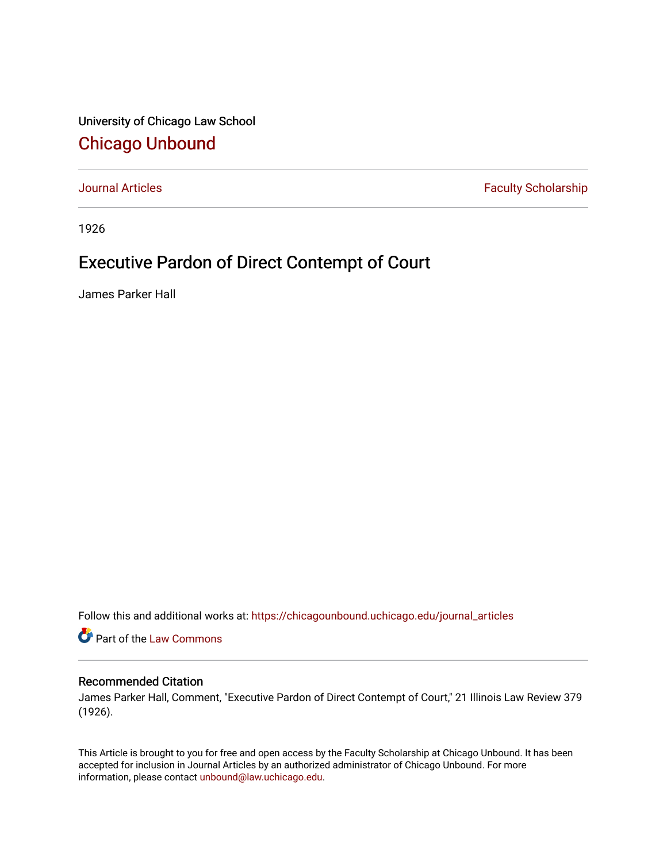University of Chicago Law School [Chicago Unbound](https://chicagounbound.uchicago.edu/)

[Journal Articles](https://chicagounbound.uchicago.edu/journal_articles) **Faculty Scholarship Faculty Scholarship** 

1926

## Executive Pardon of Direct Contempt of Court

James Parker Hall

Follow this and additional works at: [https://chicagounbound.uchicago.edu/journal\\_articles](https://chicagounbound.uchicago.edu/journal_articles?utm_source=chicagounbound.uchicago.edu%2Fjournal_articles%2F9108&utm_medium=PDF&utm_campaign=PDFCoverPages) 

Part of the [Law Commons](http://network.bepress.com/hgg/discipline/578?utm_source=chicagounbound.uchicago.edu%2Fjournal_articles%2F9108&utm_medium=PDF&utm_campaign=PDFCoverPages)

## Recommended Citation

James Parker Hall, Comment, "Executive Pardon of Direct Contempt of Court," 21 Illinois Law Review 379 (1926).

This Article is brought to you for free and open access by the Faculty Scholarship at Chicago Unbound. It has been accepted for inclusion in Journal Articles by an authorized administrator of Chicago Unbound. For more information, please contact [unbound@law.uchicago.edu](mailto:unbound@law.uchicago.edu).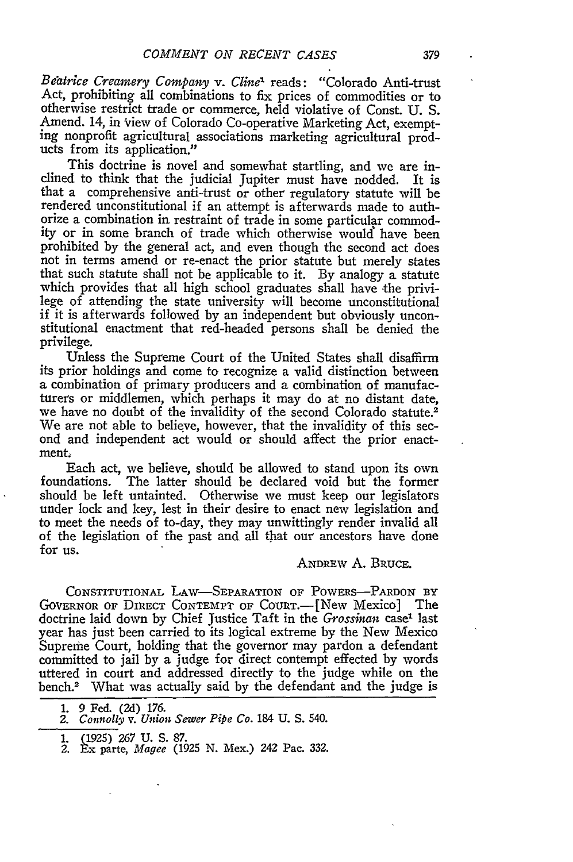*Beatrice Creamery Company v. Cline'* reads: "Colorado Anti-trust Act, prohibiting all combinations to fix prices of commodities or to otherwise restrict trade or commerce, held violative of Const. U. S. Amend. 14, in view of Colorado Co-operative Marketing Act, exempt- ing nonprofit agricultural associations marketing agricultural products from its application."

This doctrine is novel and somewhat startling, and we are inclined to think that the judicial Jupiter must have nodded. It is that a comprehensive anti-trust or other regulatory statute will be rendered unconstitutional if an attempt is afterwards made to authorize a combination in restraint of trade in some particular commodity or in some branch of trade which otherwise would" have been prohibited by the general act, and even though the second act does not in terms amend or re-enact the prior statute but merely states that such statute shall not be applicable to it. By analogy a statute which provides that all high school graduates shall have the privilege of attending the state university will become unconstitutional if it is afterwards followed by an independent but obviously unconstitutional enactment that red-headed persons shall be denied the privilege.

Unless the Supreme Court of the United States shall disaffirm its prior holdings and come to recognize a valid distinction between a combination of primary producers and a combination of manufacturers or middlemen, which perhaps it may do at no distant date, we have no doubt of the invalidity of the second Colorado statute.<sup>2</sup> We are not able to believe, however, that the invalidity of this second and independent act would or should affect the prior enactment.

Each act, we believe, should be allowed to stand upon its own foundations. The latter should be declared void but the former should be left untainted. Otherwise we must keep our legislators under lock and key, lest in their desire to enact new legislation and to meet the needs of to-day, they may unwittingly render invalid all of the legislation of the past and all that our ancestors have done for us.

## ANDREW A. BRUCE.

CONSTITUTIONAL LAW-SEPARATION OF POWERS-PARDON BY GOVERNOR OF DIRECT CONTEMPT OF COURT.-[New Mexico] The doctrine laid down by Chief Justice Taft in the *Grossman* case<sup>1</sup> last year has just been carried to its logical extreme by the New Mexico Supreme Court, holding that the governor may pardon a defendant committed to jail by a judge for direct contempt effected by words uttered in court and addressed directly to the judge while on the bench.2 What was actually said by the defendant and the judge is

- 
- **1.** (1925) 267 U. S. 87. 2. Ex parte, *Magee* (1925 N. Mex.) 242 Pac. **332.**

<sup>1. 9</sup> Fed. (2d) 176.

*<sup>2.</sup> Connolly v. Union Sewer Pipe Co.* 184 U. S. 540.